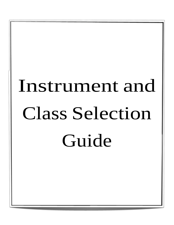# Instrument and Class Selection Guide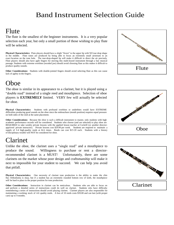#### Flute

The flute is the smallest of the beginner instruments. It is a very popular selection each year, but only a small portion of those wishing to play flute will be selected.

**Physical Characteristics:** Flute players should have a slight "frown" to the upper lip with NO tear drop shape in the middle. Flute tones are produced by being able to focus an extremely small airstream to an exact location on the tone hole. The tear-drop-shaped lip will make it difficult to direct the air precisely. Flute players should also have agile fingers for moving this multi-keyed instrument through a fast musical passage. Students with extreme overbites (receded jaw) should avoid choosing flute as this makes it difficult to produce quality sounds.

**Other Considerations:** Students with double-jointed fingers should avoid selecting flute as this can cause lack of agility in the fingers.

# Oboe

The oboe is similar in its appearance to a clarinet, but it is played using a "double reed" instead of a single reed and mouthpiece. Selection of oboe players is **EXTREMELY** limited. VERY few will actually be selected for oboe.

**Physical Characteristics:** Students with profound overbites or underbites would have EXTREME difficulties producing good sounds on the oboe since the embouchure (mouth position) requires equal pressure on both sides of the reed at the same placement.

**Other Considerations:** Because the oboe is such a difficult instrument to master, only students with high academic performance records will be considered. Students who choose (and are selected) to play oboe are REQUIRED to take weekly private lessons with the applied lesson teacher at Cockrill (or another directorapproved private instructor). Private lessons cost \$20.00 per week. Students are required to maintain a supply of 3-4 high-quality reeds at ALL times. Reeds can cost \$15-20 each. Students with a history of disciplinary trouble will NOT be considered for oboe.

# Clarinet

Unlike the oboe, the clarinet uses a "single reed" and a mouthpiece to produce the sound. Willingness to purchase or rent a directorrecommended clarinet is a MUST! Unfortunately, there are some clarinets on the market whose poor design and craftsmanship will make it next to impossible for your student to succeed. We can help you avoid that pitfall.

**Physical Characteristics:** One necessity of clarinet tone production is the ability to make the chin flat. Orthodontia is okay, but if a student has an extremely rounded bottom row of teeth, the mouthpiece will be hard to place in the proper position for tone production.

**Other Considerations:** Instruction in clarinet can be meticulous. Students who are able to focus on and perform a detailed series of instructions could do well on clarinet. Students who have difficulty remembering a series of instructions should avoid playing clarinet. Clarinet players are also responsible for maintaining a working stock of 4-6 quality reeds. A box of 10 reeds costs \$30.00 and can last (with proper care) up to 4 months.





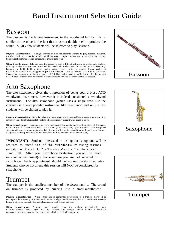#### Bassoon

The bassoon is the largest instrument in the woodwind family. It is similar to the oboe in the fact that it uses a double reed to produce the sound. **VERY** few students will be selected to play Bassoon.

**Physical Characteristics:** A slight overbite is okay for students wishing to play bassoon, however, a student with an underbite should avoid bassoon. Agile thumbs are a necessity for playing bassoon proficiently as well as a medium or greater hand span.

**Other Considerations:** Like the oboe, the bassoon is such a difficult instrument to master, only students with high academic performance records will be considered. Students who choose (and are selected) to play bassoon are REQUIRED to take weekly private lessons with the applied lesson teacher at Cockrill (or another director-approved private instructor). Private lessons cost \$20.00 per week. Students are required to maintain a supply of 3-4 high-quality reeds at ALL times. Reeds can cost \$15-20 each. Students with a history of disciplinary trouble will NOT be considered for bassoon.

## Alto Saxophone

The alto saxophone gives the impression of being both a brass AND woodwind instrument, however it is indeed considered a woodwind instrument. The alto saxophone (which uses a single reed like the clarinet) is a very popular instrument like percussion and only a few students will be chosen to play it.

**Physical Characteristics:** Since the balance of the saxophone is maintained by the use of a neck strap, it is extremely important that students be able to sit up completely straight when asked to do so.

**Other Considerations:** Saxophone players are responsible for maintaining a working stock of 4-6 quality reeds. A box of 10 reeds costs \$30.00 and can last (with proper care) up to 4 months. Alto Saxophone students will have the opportunity after their first year of instruction to audition for Tenor Sax or Baritone Sax (based on their proven musical and behavioral abilities while in alto saxophone class).

**IMPORTANT:** Students interested in testing for saxophone will be required to attend one of the **MANDATORY** testing sessions on Saturday March  $18<sup>th</sup>$  or Tuesday March  $21<sup>st</sup>$  in the Cockrill Band Hall. After your Saxophone Evaluation, you will be tested on another instrument(s) choice in case you are not selected for saxophone. Each appointment should last approximately 30 minutes. Students who do not attend this session will NOT be considered for saxophone.

#### Trumpet

The trumpet is the smallest member of the *brass* family. The sound on trumpet is produced by buzzing into a small mouthpiece.

**Physical Characteristics:** While orthodontia is somewhat troublesome to a trumpet player, it is not impossible to make good sounds with braces. A slight overbite is okay, but an underbite can severely hinder progress on trumpet. Trumpet players come in all shapes and sizes.

**Other Considerations: T**rumpet parts usually have the melody (recognizable) part, therefore students who choose and are selected for trumpet should exhibit a confident demeanor, strong personality, and demonstrate a high level of self-motivation.





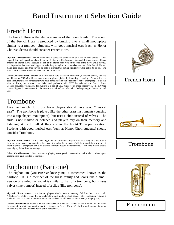#### French Horn

The French Horn is the also a member of the brass family. The sound of the French Horn is produced by buzzing into a small mouthpiece similar to a trumpet. Students with good musical ears (such as Honor Choir students) should consider French Horn.

**Physical Characteristics:** While orthodontia is somewhat troublesome to a French Horn player, it is not impossible to make good sounds with braces. A slight overbite is okay, but an underbite can severely hinder progress on French Horn. Because the bell of the French horn rests on the knee of the player while playing, it is imperative that a student's upper torso be long enough to accommodate the size of the French Horn to make good sounds and that players be able to demonstrate sitting straight up when asked to do so. The French Horn's valves are manipulated with the LEFT hand.

**Other Considerations:** Because of the difficult nature of French horn notes (mentioned above), students should exhibit GREAT ability to match sung or played pitches by humming or singing. Perhaps this is a good instrument choice for students who have participated in piano lessons or honor choir groups. Students with a history of academic or behavioral problems will NOT be selected for French horn. Cockrill provides French horns for students at a cost of \$100 rental for an entire school year. This \$100 fee covers all general maintenance for the instrument and will be collected at the beginning of the next school year.



## Trombone

Like the French Horn, trombone players should have good "musical ears". The trombone is played like the other brass instruments (buzzing into a cup-shaped mouthpiece), but uses a slide instead of valves. The slide is not marked or notched and players rely on their memory and listening skills to tell if they are in the EXACT proper location. Students with good musical ears (such as Honor Choir students) should consider Trombone.

**Physical Characteristics:** While some might think that trombone players must have long arms, the truth is there are numerous accommodations that make it possible for students of all shapes and sizes to play. A slight overbite is acceptable, while an extreme underbite would hinder success. Trombone players should have slightly fuller lips than average.

**Other Considerations:** Great trombone playing takes good concentration and study. Many quiet academicians have excelled at trombone.

## Euphonium (Baritone)

The euphonium (you-PHONE-knee-yum) is sometimes known as the baritone. It is a member of the brass family and looks like a small version of a tuba. Its sound is similar to that of a trombone, but it uses valves (like trumpet) instead of a slide (like trombone).

**Physical Characteristics:** Euphonium players should have moderately full lips, but not too full. A SLIGHT overbite is okay, but an underbite would hinder a good sound. The euphonium requires a medium- sized hand span to reach the valves and students should have an above average lung capacity.

**Other Considerations:** Students with an above average amount of orthodontia will find the mouthpiece of the euphonium a bit more comfortable than trumpet or French Horn. Cockrill provides euphoniums for students at a cost of \$100 rental for an entire school year.